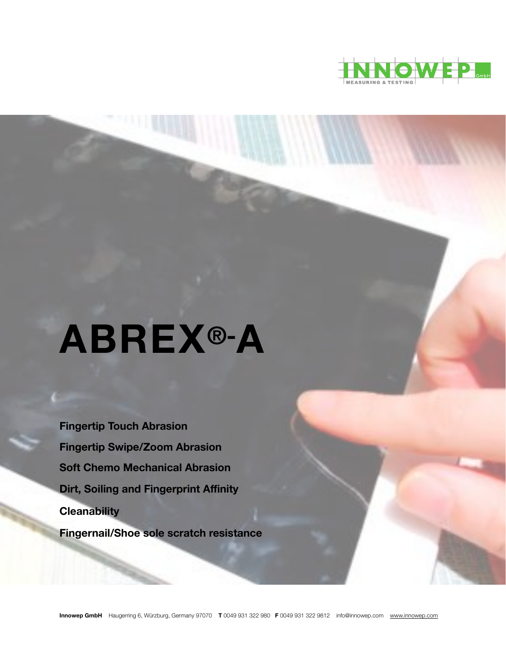

# **ABREX®-A**

**Fingertip Touch Abrasion Fingertip Swipe/Zoom Abrasion Soft Chemo Mechanical Abrasion Dirt, Soiling and Fingerprint Affinity Cleanability Fingernail/Shoe sole scratch resistance**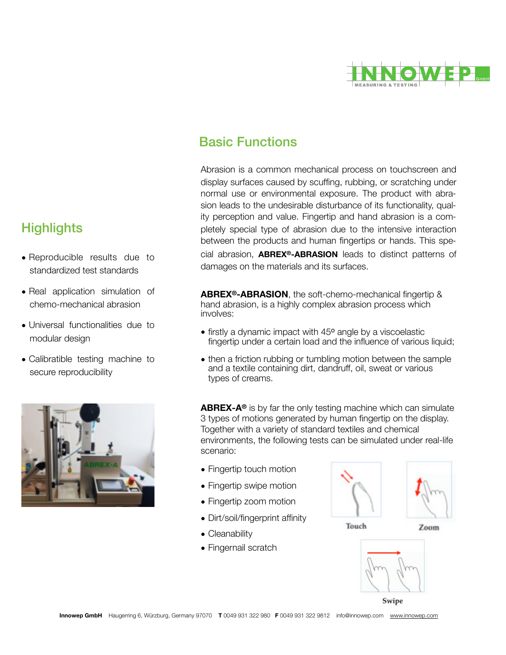

# Basic Functions

Abrasion is a common mechanical process on touchscreen and display surfaces caused by scuffing, rubbing, or scratching under normal use or environmental exposure. The product with abrasion leads to the undesirable disturbance of its functionality, quality perception and value. Fingertip and hand abrasion is a completely special type of abrasion due to the intensive interaction between the products and human fingertips or hands. This special abrasion, **ABREX®-ABRASION** leads to distinct patterns of damages on the materials and its surfaces.

**ABREX®-ABRASION**, the soft-chemo-mechanical fingertip & hand abrasion, is a highly complex abrasion process which involves:

- firstly a dynamic impact with 45° angle by a viscoelastic fingertip under a certain load and the influence of various liquid;
- then a friction rubbing or tumbling motion between the sample and a textile containing dirt, dandruff, oil, sweat or various types of creams.

**ABREX-A®** is by far the only testing machine which can simulate 3 types of motions generated by human fingertip on the display. Together with a variety of standard textiles and chemical environments, the following tests can be simulated under real-life scenario:

- Fingertip touch motion
- Fingertip swipe motion
- Fingertip zoom motion
- Dirt/soil/fingerprint affinity
- Cleanability
- Fingernail scratch



Touch





Swipe

# **Highlights**

- Reproducible results due to standardized test standards
- Real application simulation of chemo-mechanical abrasion
- Universal functionalities due to modular design
- Calibratible testing machine to secure reproducibility

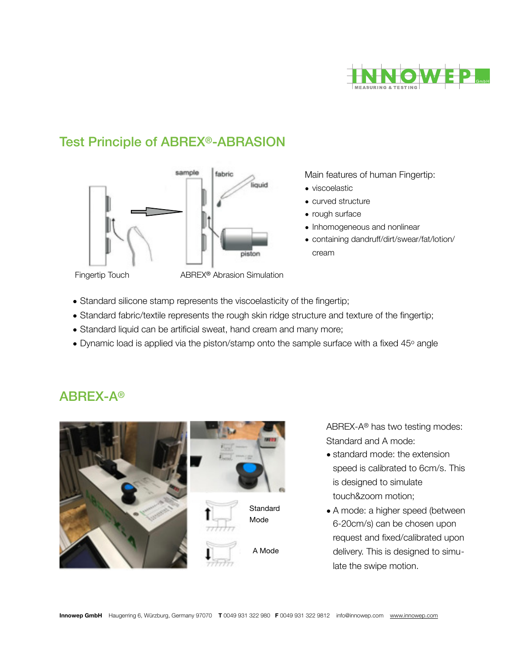

## Test Principle of ABREX®-ABRASION



Main features of human Fingertip:

- viscoelastic
- curved structure
- rough surface
- Inhomogeneous and nonlinear
- containing dandruff/dirt/swear/fat/lotion/ cream

ABREX-A®

Fingertip Touch ABREX® Abrasion Simulation

- Standard silicone stamp represents the viscoelasticity of the fingertip;
- Standard fabric/textile represents the rough skin ridge structure and texture of the fingertip;
- Standard liquid can be artificial sweat, hand cream and many more;
- Dynamic load is applied via the piston/stamp onto the sample surface with a fixed 45° angle



ABREX-A® has two testing modes: Standard and A mode:

- standard mode: the extension speed is calibrated to 6cm/s. This is designed to simulate touch&zoom motion;
- A mode: a higher speed (between 6-20cm/s) can be chosen upon request and fixed/calibrated upon delivery. This is designed to simulate the swipe motion.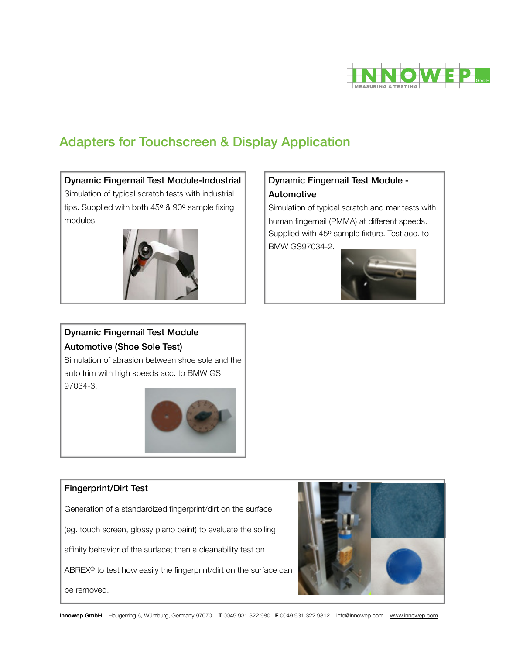

# Adapters for Touchscreen & Display Application

#### Dynamic Fingernail Test Module-Industrial

Simulation of typical scratch tests with industrial tips. Supplied with both 45° & 90° sample fixing modules.



#### Dynamic Fingernail Test Module - Automotive

Simulation of typical scratch and mar tests with human fingernail (PMMA) at different speeds. Supplied with 45° sample fixture. Test acc. to BMW GS97034-2.



#### Dynamic Fingernail Test Module Automotive (Shoe Sole Test)

Simulation of abrasion between shoe sole and the auto trim with high speeds acc. to BMW GS 97034-3.



#### Fingerprint/Dirt Test

Generation of a standardized fingerprint/dirt on the surface

(eg. touch screen, glossy piano paint) to evaluate the soiling

affinity behavior of the surface; then a cleanability test on

ABREX® to test how easily the fingerprint/dirt on the surface can

be removed.

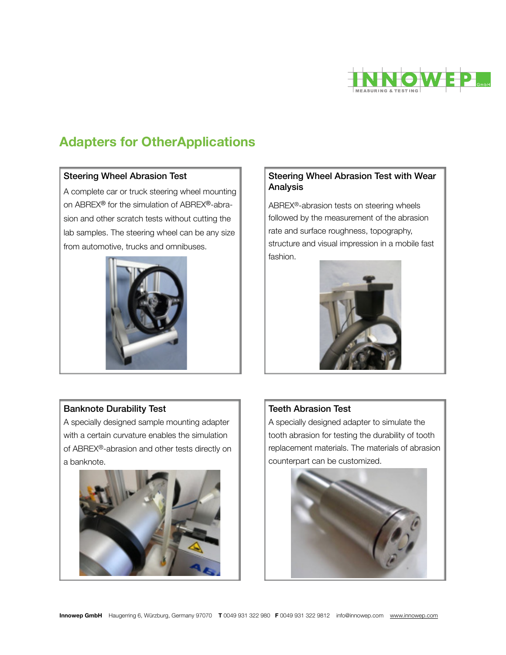

# **Adapters for OtherApplications**

#### Steering Wheel Abrasion Test

A complete car or truck steering wheel mounting on ABREX® for the simulation of ABREX®-abrasion and other scratch tests without cutting the lab samples. The steering wheel can be any size from automotive, trucks and omnibuses.



#### Steering Wheel Abrasion Test with Wear Analysis

ABREX®-abrasion tests on steering wheels followed by the measurement of the abrasion rate and surface roughness, topography, structure and visual impression in a mobile fast fashion.



#### Banknote Durability Test

A specially designed sample mounting adapter with a certain curvature enables the simulation of ABREX®-abrasion and other tests directly on a banknote.



#### Teeth Abrasion Test

A specially designed adapter to simulate the tooth abrasion for testing the durability of tooth replacement materials. The materials of abrasion counterpart can be customized.

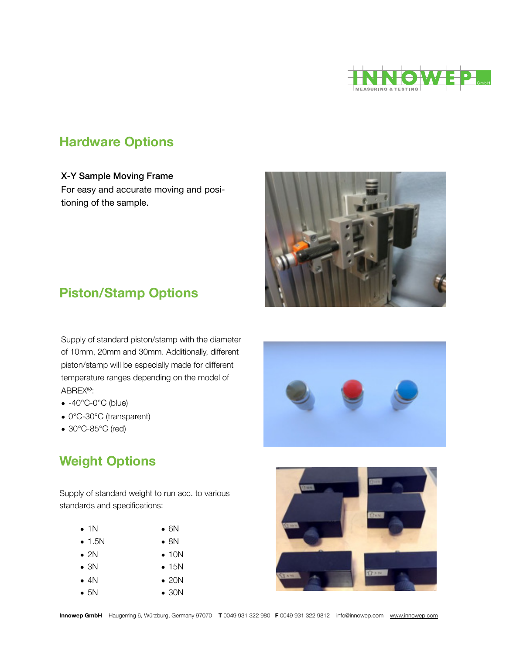

## **Hardware Options**

#### X-Y Sample Moving Frame

For easy and accurate moving and positioning of the sample.



# **Piston/Stamp Options**

Supply of standard piston/stamp with the diameter of 10mm, 20mm and 30mm. Additionally, different piston/stamp will be especially made for different temperature ranges depending on the model of ABREX®:

- -40℃-0℃ (blue)
- 0℃-30℃ (transparent)
- 30℃-85℃ (red)

# **Weight Options**

Supply of standard weight to run acc. to various standards and specifications:

| $\bullet$ 1N   | $\bullet$ 6N  |
|----------------|---------------|
| $\bullet$ 1.5N | $\bullet$ 8N  |
| $\bullet$ 2N   | $\bullet$ 10N |
| $\bullet$ 3N   | $\bullet$ 15N |
| $\bullet$ 4N   | $\bullet$ 20N |
| $\bullet$ 5N   | $\bullet$ 30N |
|                |               |



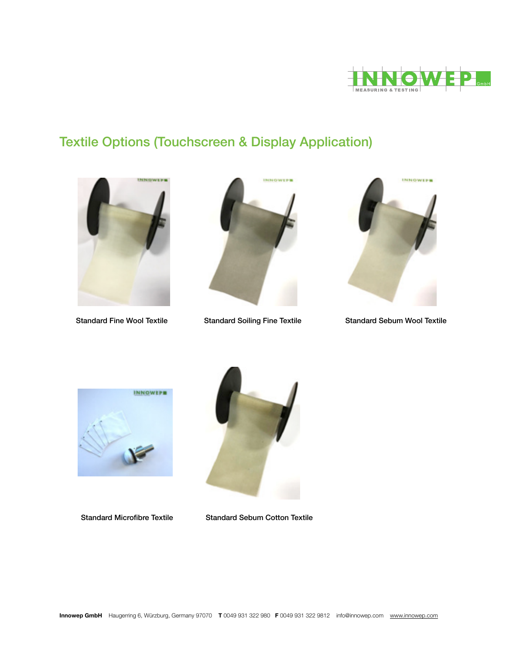

# Textile Options (Touchscreen & Display Application)





Standard Fine Wool Textile Standard Soiling Fine Textile Standard Sebum Wool Textile







Standard Microfibre Textile Standard Sebum Cotton Textile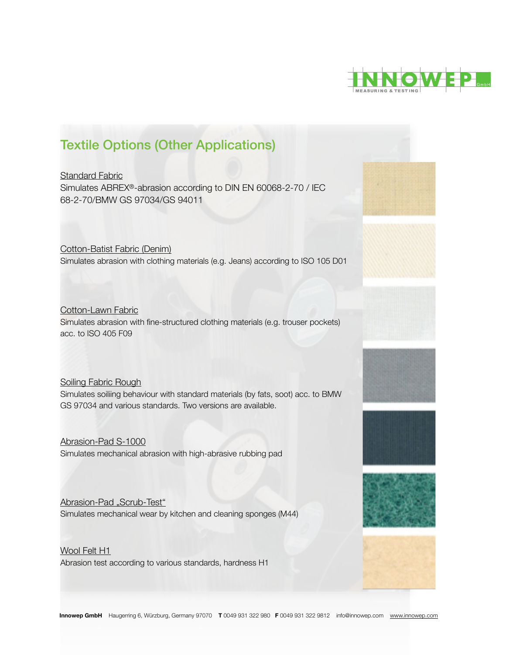

## Textile Options (Other Applications)

Standard Fabric Simulates ABREX®-abrasion according to DIN EN 60068-2-70 / IEC 68-2-70/BMW GS 97034/GS 94011

Cotton-Batist Fabric (Denim) Simulates abrasion with clothing materials (e.g. Jeans) according to ISO 105 D01

Cotton-Lawn Fabric

Simulates abrasion with fine-structured clothing materials (e.g. trouser pockets) acc. to ISO 405 F09

#### Soiling Fabric Rough

Simulates soiliing behaviour with standard materials (by fats, soot) acc. to BMW GS 97034 and various standards. Two versions are available.

Abrasion-Pad S-1000 Simulates mechanical abrasion with high-abrasive rubbing pad

Abrasion-Pad "Scrub-Test" Simulates mechanical wear by kitchen and cleaning sponges (M44)

Wool Felt H1 Abrasion test according to various standards, hardness H1







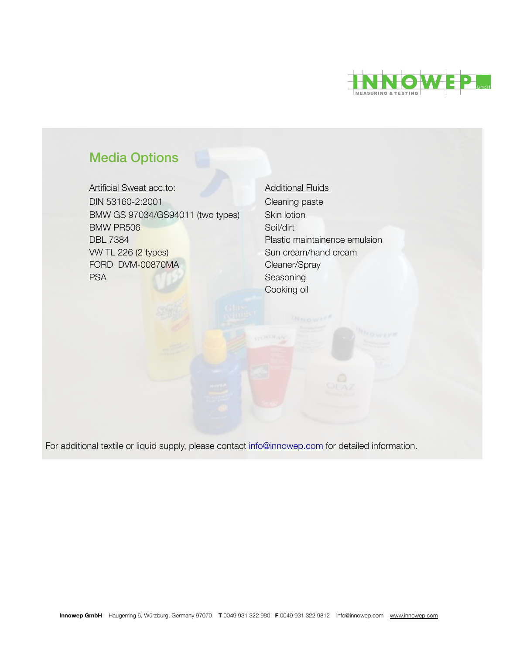

# Media Options

Artificial Sweat acc.to: <br>
Additional Fluids DIN 53160-2:2001 Cleaning paste BMW GS 97034/GS94011 (two types) Skin lotion BMW PR506 Soil/dirt **DBL 7384 DBL 7384 Plastic maintainence emulsion** VW TL 226 (2 types) Sun cream/hand cream FORD DVM-00870MA Cleaner/Spray PSA Seasoning

 Cooking oil 

For additional textile or liquid supply, please contact [info@innowep.com](mailto:info@innowep.com) for detailed information.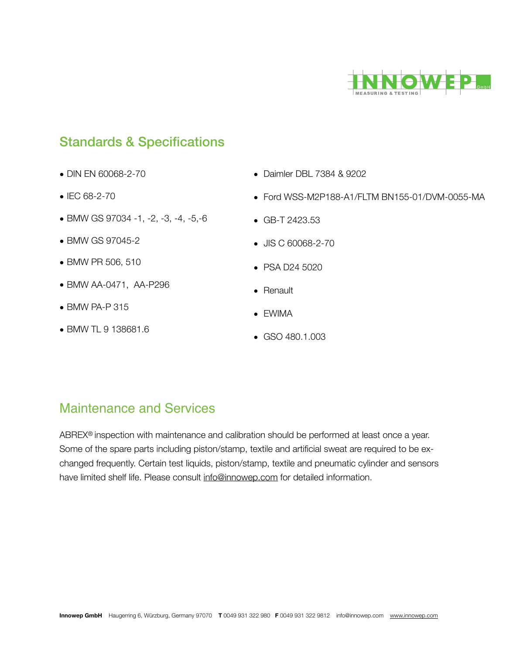

## Standards & Specifications

- DIN EN 60068-2-70
- IEC 68-2-70
- BMW GS 97034 -1, -2, -3, -4, -5,-6
- BMW GS 97045-2
- BMW PR 506, 510
- BMW AA-0471, AA-P296
- BMW PA-P 315
- BMW TL 9 138681.6
- Daimler DBL 7384 & 9202
- Ford WSS-M2P188-A1/FLTM BN155-01/DVM-0055-MA
- GB-T 2423.53
- JIS C 60068-2-70
- PSA D24 5020
- Renault
- EWIMA
- GSO 480.1.003

## Maintenance and Services

ABREX® inspection with maintenance and calibration should be performed at least once a year. Some of the spare parts including piston/stamp, textile and artificial sweat are required to be exchanged frequently. Certain test liquids, piston/stamp, textile and pneumatic cylinder and sensors have limited shelf life. Please consult [info@innowep.com](mailto:info@innowep.com) for detailed information.